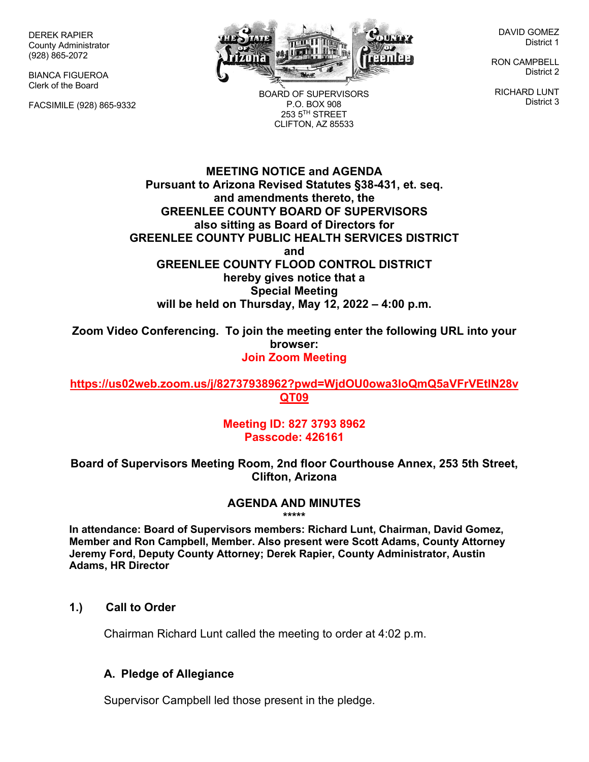DEREK RAPIER County Administrator (928) 865-2072

BIANCA FIGUEROA Clerk of the Board

FACSIMILE (928) 865-9332



BOARD OF SUPERVISORS P.O. BOX 908  $253.5$ <sup>TH</sup> STREET CLIFTON, AZ 85533

DAVID GOMEZ District 1

RON CAMPBELL District 2

RICHARD LUNT District 3

**MEETING NOTICE and AGENDA Pursuant to Arizona Revised Statutes §38-431, et. seq. and amendments thereto, the GREENLEE COUNTY BOARD OF SUPERVISORS also sitting as Board of Directors for GREENLEE COUNTY PUBLIC HEALTH SERVICES DISTRICT and GREENLEE COUNTY FLOOD CONTROL DISTRICT hereby gives notice that a Special Meeting will be held on Thursday, May 12, 2022 – 4:00 p.m.**

**Zoom Video Conferencing. To join the meeting enter the following URL into your browser: Join Zoom Meeting**

**https://us02web.zoom.us/j/82737938962?pwd=WjdOU0owa3loQmQ5aVFrVEtlN28v QT09**

> **Meeting ID: 827 3793 8962 Passcode: 426161**

**Board of Supervisors Meeting Room, 2nd floor Courthouse Annex, 253 5th Street, Clifton, Arizona**

#### **AGENDA AND MINUTES \*\*\*\*\***

**In attendance: Board of Supervisors members: Richard Lunt, Chairman, David Gomez, Member and Ron Campbell, Member. Also present were Scott Adams, County Attorney Jeremy Ford, Deputy County Attorney; Derek Rapier, County Administrator, Austin Adams, HR Director**

# **1.) Call to Order**

Chairman Richard Lunt called the meeting to order at 4:02 p.m.

#### **A. Pledge of Allegiance**

Supervisor Campbell led those present in the pledge.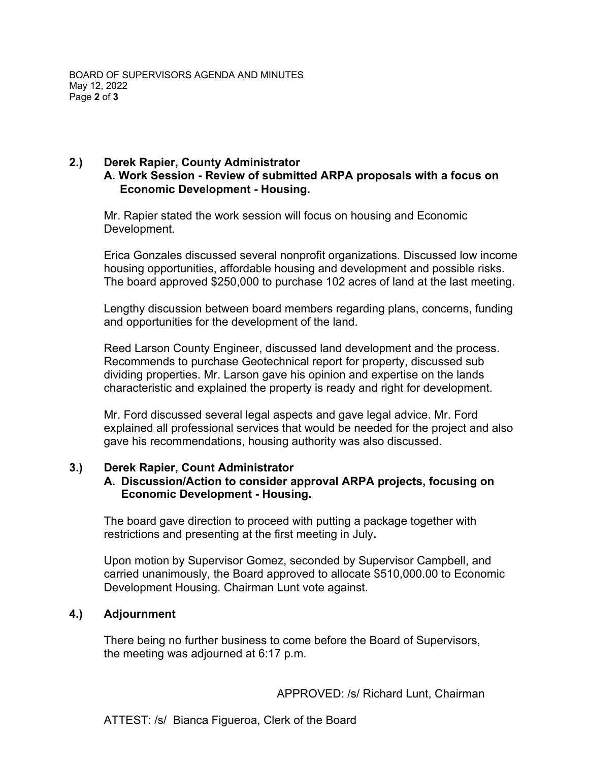# **2.) Derek Rapier, County Administrator A. Work Session - Review of submitted ARPA proposals with a focus on Economic Development - Housing.**

Mr. Rapier stated the work session will focus on housing and Economic Development.

Erica Gonzales discussed several nonprofit organizations. Discussed low income housing opportunities, affordable housing and development and possible risks. The board approved \$250,000 to purchase 102 acres of land at the last meeting.

Lengthy discussion between board members regarding plans, concerns, funding and opportunities for the development of the land.

Reed Larson County Engineer, discussed land development and the process. Recommends to purchase Geotechnical report for property, discussed sub dividing properties. Mr. Larson gave his opinion and expertise on the lands characteristic and explained the property is ready and right for development.

Mr. Ford discussed several legal aspects and gave legal advice. Mr. Ford explained all professional services that would be needed for the project and also gave his recommendations, housing authority was also discussed.

# **3.) Derek Rapier, Count Administrator**

# **A. Discussion/Action to consider approval ARPA projects, focusing on Economic Development - Housing.**

The board gave direction to proceed with putting a package together with restrictions and presenting at the first meeting in July**.** 

Upon motion by Supervisor Gomez, seconded by Supervisor Campbell, and carried unanimously, the Board approved to allocate \$510,000.00 to Economic Development Housing. Chairman Lunt vote against.

# **4.) Adjournment**

There being no further business to come before the Board of Supervisors, the meeting was adjourned at 6:17 p.m.

APPROVED: /s/ Richard Lunt, Chairman